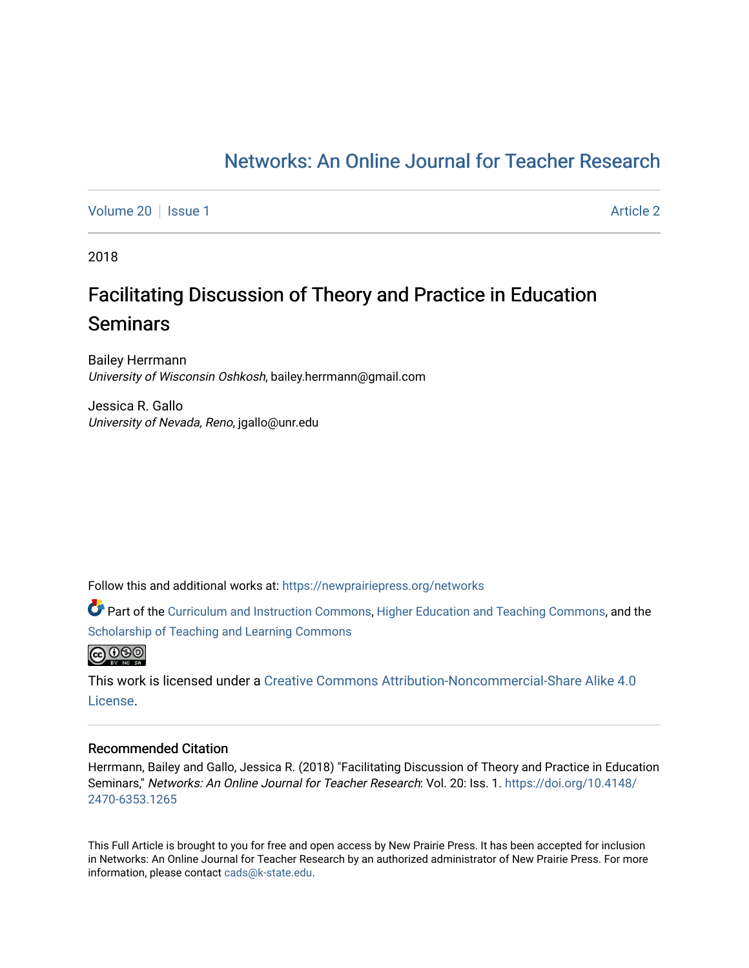# [Networks: An Online Journal for Teacher Research](https://newprairiepress.org/networks)

[Volume 20](https://newprairiepress.org/networks/vol20) | [Issue 1](https://newprairiepress.org/networks/vol20/iss1) [Article 2](https://newprairiepress.org/networks/vol20/iss1/2) | Article 2 | Article 2 | Article 2 | Article 2 | Article 2 | Article 2 | Article 2

2018

# Facilitating Discussion of Theory and Practice in Education **Seminars**

Bailey Herrmann University of Wisconsin Oshkosh, bailey.herrmann@gmail.com

Jessica R. Gallo University of Nevada, Reno, jgallo@unr.edu

Follow this and additional works at: [https://newprairiepress.org/networks](https://newprairiepress.org/networks?utm_source=newprairiepress.org%2Fnetworks%2Fvol20%2Fiss1%2F2&utm_medium=PDF&utm_campaign=PDFCoverPages)

Part of the [Curriculum and Instruction Commons,](http://network.bepress.com/hgg/discipline/786?utm_source=newprairiepress.org%2Fnetworks%2Fvol20%2Fiss1%2F2&utm_medium=PDF&utm_campaign=PDFCoverPages) [Higher Education and Teaching Commons](http://network.bepress.com/hgg/discipline/806?utm_source=newprairiepress.org%2Fnetworks%2Fvol20%2Fiss1%2F2&utm_medium=PDF&utm_campaign=PDFCoverPages), and the [Scholarship of Teaching and Learning Commons](http://network.bepress.com/hgg/discipline/1328?utm_source=newprairiepress.org%2Fnetworks%2Fvol20%2Fiss1%2F2&utm_medium=PDF&utm_campaign=PDFCoverPages) 



This work is licensed under a [Creative Commons Attribution-Noncommercial-Share Alike 4.0](https://creativecommons.org/licenses/by-nc-sa/4.0/) [License.](https://creativecommons.org/licenses/by-nc-sa/4.0/)

#### Recommended Citation

Herrmann, Bailey and Gallo, Jessica R. (2018) "Facilitating Discussion of Theory and Practice in Education Seminars," Networks: An Online Journal for Teacher Research: Vol. 20: Iss. 1. [https://doi.org/10.4148/](https://doi.org/10.4148/2470-6353.1265) [2470-6353.1265](https://doi.org/10.4148/2470-6353.1265) 

This Full Article is brought to you for free and open access by New Prairie Press. It has been accepted for inclusion in Networks: An Online Journal for Teacher Research by an authorized administrator of New Prairie Press. For more information, please contact [cads@k-state.edu](mailto:cads@k-state.edu).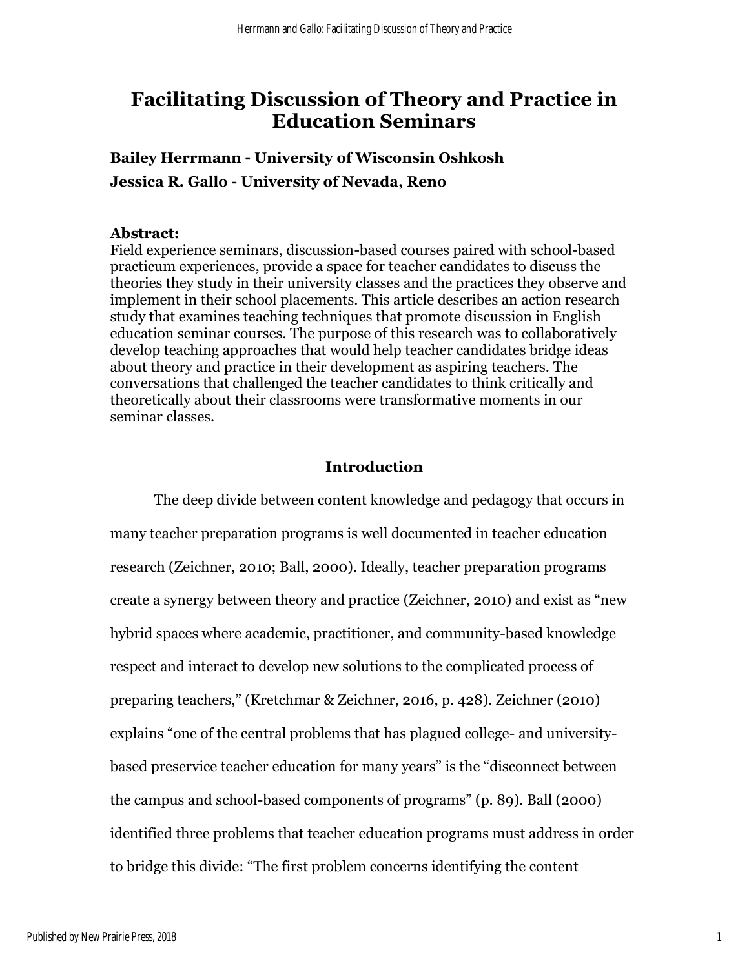# **Facilitating Discussion of Theory and Practice in Education Seminars**

**Bailey Herrmann - University of Wisconsin Oshkosh Jessica R. Gallo - University of Nevada, Reno**

## **Abstract:**

Field experience seminars, discussion-based courses paired with school-based practicum experiences, provide a space for teacher candidates to discuss the theories they study in their university classes and the practices they observe and implement in their school placements. This article describes an action research study that examines teaching techniques that promote discussion in English education seminar courses. The purpose of this research was to collaboratively develop teaching approaches that would help teacher candidates bridge ideas about theory and practice in their development as aspiring teachers. The conversations that challenged the teacher candidates to think critically and theoretically about their classrooms were transformative moments in our seminar classes.

# **Introduction**

The deep divide between content knowledge and pedagogy that occurs in many teacher preparation programs is well documented in teacher education research (Zeichner, 2010; Ball, 2000). Ideally, teacher preparation programs create a synergy between theory and practice (Zeichner, 2010) and exist as "new hybrid spaces where academic, practitioner, and community-based knowledge respect and interact to develop new solutions to the complicated process of preparing teachers," (Kretchmar & Zeichner, 2016, p. 428). Zeichner (2010) explains "one of the central problems that has plagued college- and universitybased preservice teacher education for many years" is the "disconnect between the campus and school-based components of programs" (p. 89). Ball (2000) identified three problems that teacher education programs must address in order to bridge this divide: "The first problem concerns identifying the content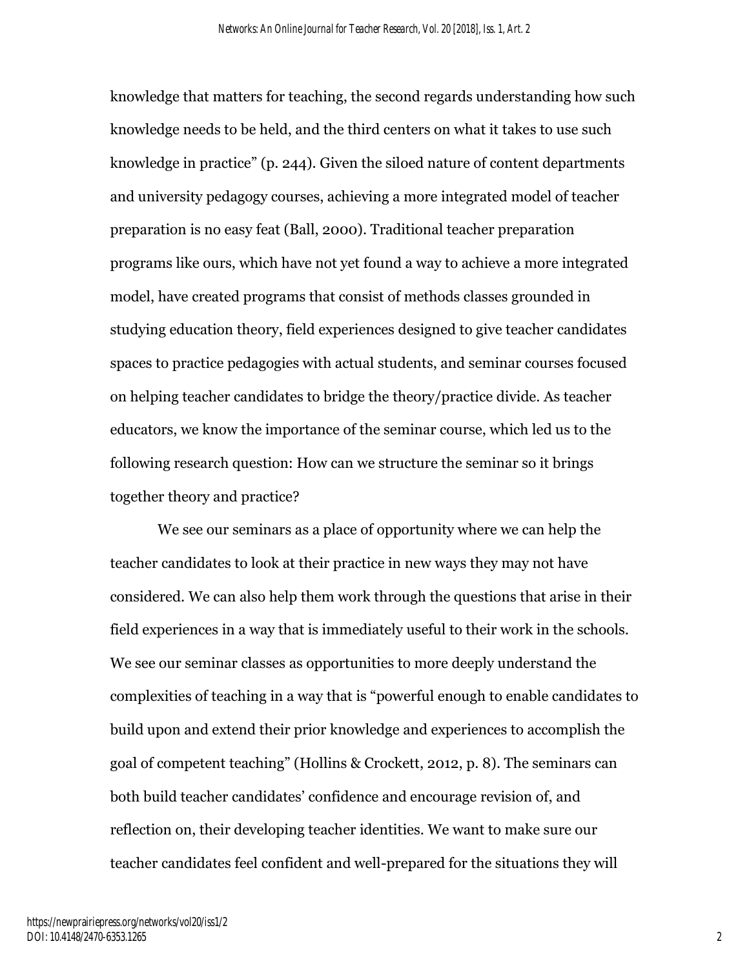knowledge that matters for teaching, the second regards understanding how such knowledge needs to be held, and the third centers on what it takes to use such knowledge in practice" (p. 244). Given the siloed nature of content departments and university pedagogy courses, achieving a more integrated model of teacher preparation is no easy feat (Ball, 2000). Traditional teacher preparation programs like ours, which have not yet found a way to achieve a more integrated model, have created programs that consist of methods classes grounded in studying education theory, field experiences designed to give teacher candidates spaces to practice pedagogies with actual students, and seminar courses focused on helping teacher candidates to bridge the theory/practice divide. As teacher educators, we know the importance of the seminar course, which led us to the following research question: How can we structure the seminar so it brings together theory and practice?

We see our seminars as a place of opportunity where we can help the teacher candidates to look at their practice in new ways they may not have considered. We can also help them work through the questions that arise in their field experiences in a way that is immediately useful to their work in the schools. We see our seminar classes as opportunities to more deeply understand the complexities of teaching in a way that is "powerful enough to enable candidates to build upon and extend their prior knowledge and experiences to accomplish the goal of competent teaching" (Hollins & Crockett, 2012, p. 8). The seminars can both build teacher candidates' confidence and encourage revision of, and reflection on, their developing teacher identities. We want to make sure our teacher candidates feel confident and well-prepared for the situations they will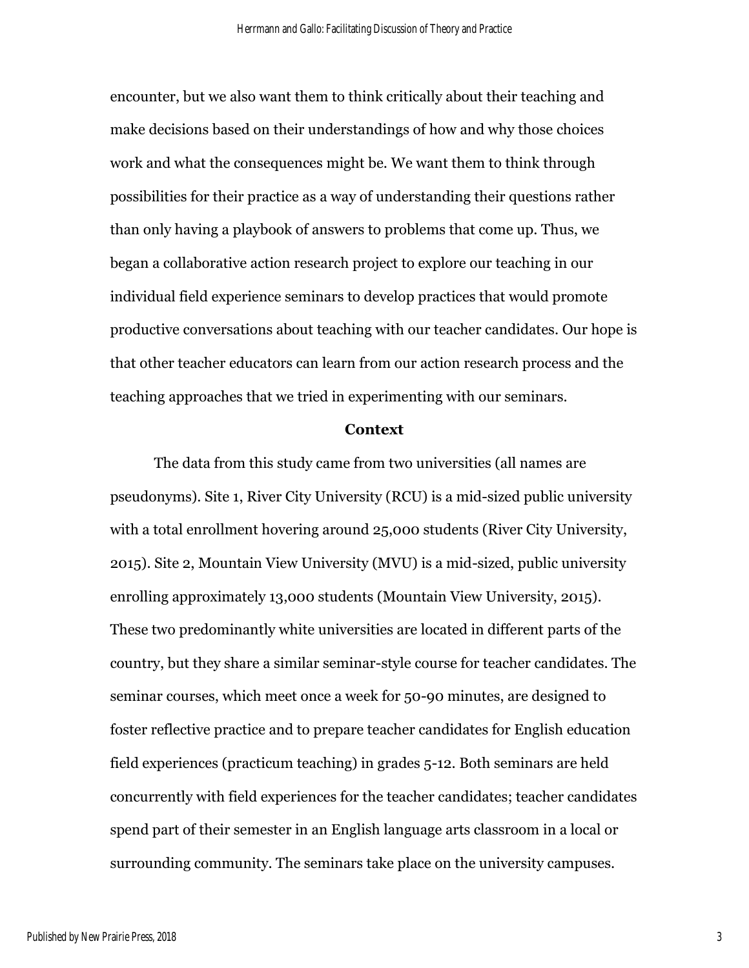encounter, but we also want them to think critically about their teaching and make decisions based on their understandings of how and why those choices work and what the consequences might be. We want them to think through possibilities for their practice as a way of understanding their questions rather than only having a playbook of answers to problems that come up. Thus, we began a collaborative action research project to explore our teaching in our individual field experience seminars to develop practices that would promote productive conversations about teaching with our teacher candidates. Our hope is that other teacher educators can learn from our action research process and the teaching approaches that we tried in experimenting with our seminars.

#### **Context**

The data from this study came from two universities (all names are pseudonyms). Site 1, River City University (RCU) is a mid-sized public university with a total enrollment hovering around 25,000 students (River City University, 2015). Site 2, Mountain View University (MVU) is a mid-sized, public university enrolling approximately 13,000 students (Mountain View University, 2015). These two predominantly white universities are located in different parts of the country, but they share a similar seminar-style course for teacher candidates. The seminar courses, which meet once a week for 50-90 minutes, are designed to foster reflective practice and to prepare teacher candidates for English education field experiences (practicum teaching) in grades 5-12. Both seminars are held concurrently with field experiences for the teacher candidates; teacher candidates spend part of their semester in an English language arts classroom in a local or surrounding community. The seminars take place on the university campuses.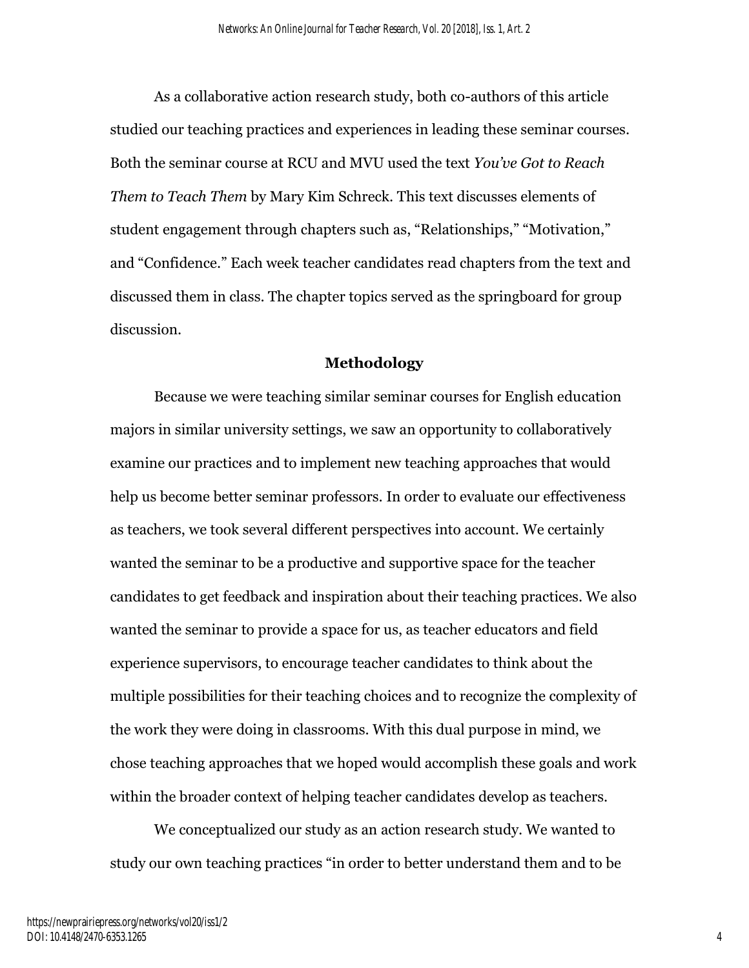As a collaborative action research study, both co-authors of this article studied our teaching practices and experiences in leading these seminar courses. Both the seminar course at RCU and MVU used the text *You've Got to Reach Them to Teach Them* by Mary Kim Schreck. This text discusses elements of student engagement through chapters such as, "Relationships," "Motivation," and "Confidence." Each week teacher candidates read chapters from the text and discussed them in class. The chapter topics served as the springboard for group discussion.

#### **Methodology**

Because we were teaching similar seminar courses for English education majors in similar university settings, we saw an opportunity to collaboratively examine our practices and to implement new teaching approaches that would help us become better seminar professors. In order to evaluate our effectiveness as teachers, we took several different perspectives into account. We certainly wanted the seminar to be a productive and supportive space for the teacher candidates to get feedback and inspiration about their teaching practices. We also wanted the seminar to provide a space for us, as teacher educators and field experience supervisors, to encourage teacher candidates to think about the multiple possibilities for their teaching choices and to recognize the complexity of the work they were doing in classrooms. With this dual purpose in mind, we chose teaching approaches that we hoped would accomplish these goals and work within the broader context of helping teacher candidates develop as teachers.

We conceptualized our study as an action research study. We wanted to study our own teaching practices "in order to better understand them and to be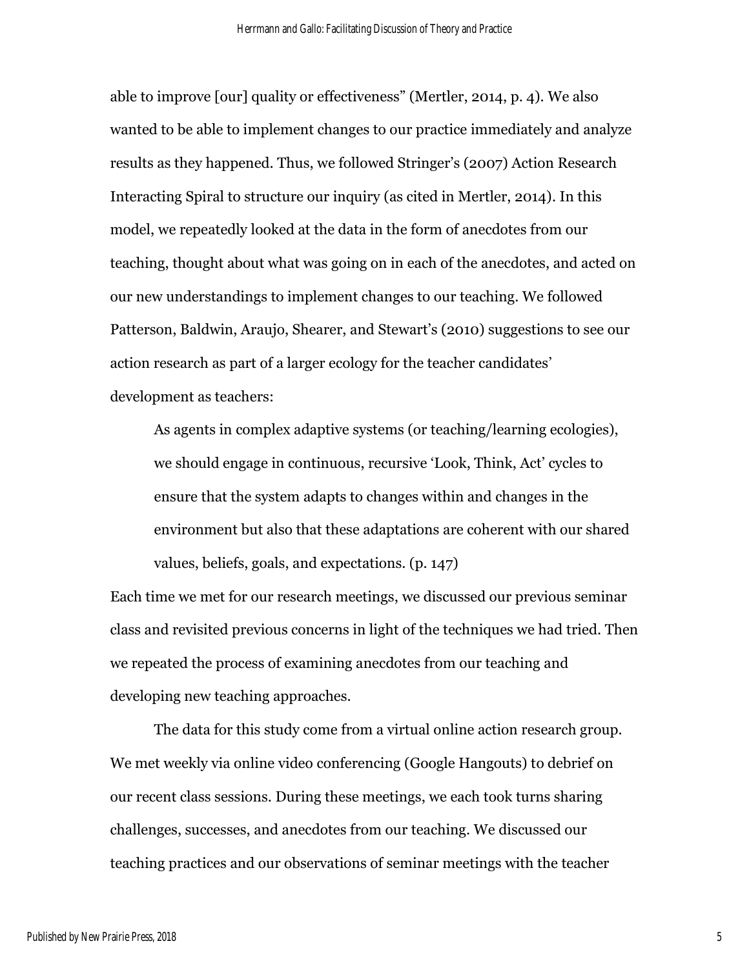able to improve [our] quality or effectiveness" (Mertler, 2014, p. 4). We also wanted to be able to implement changes to our practice immediately and analyze results as they happened. Thus, we followed Stringer's (2007) Action Research Interacting Spiral to structure our inquiry (as cited in Mertler, 2014). In this model, we repeatedly looked at the data in the form of anecdotes from our teaching, thought about what was going on in each of the anecdotes, and acted on our new understandings to implement changes to our teaching. We followed Patterson, Baldwin, Araujo, Shearer, and Stewart's (2010) suggestions to see our action research as part of a larger ecology for the teacher candidates' development as teachers:

As agents in complex adaptive systems (or teaching/learning ecologies), we should engage in continuous, recursive 'Look, Think, Act' cycles to ensure that the system adapts to changes within and changes in the environment but also that these adaptations are coherent with our shared values, beliefs, goals, and expectations. (p. 147)

Each time we met for our research meetings, we discussed our previous seminar class and revisited previous concerns in light of the techniques we had tried. Then we repeated the process of examining anecdotes from our teaching and developing new teaching approaches.

The data for this study come from a virtual online action research group. We met weekly via online video conferencing (Google Hangouts) to debrief on our recent class sessions. During these meetings, we each took turns sharing challenges, successes, and anecdotes from our teaching. We discussed our teaching practices and our observations of seminar meetings with the teacher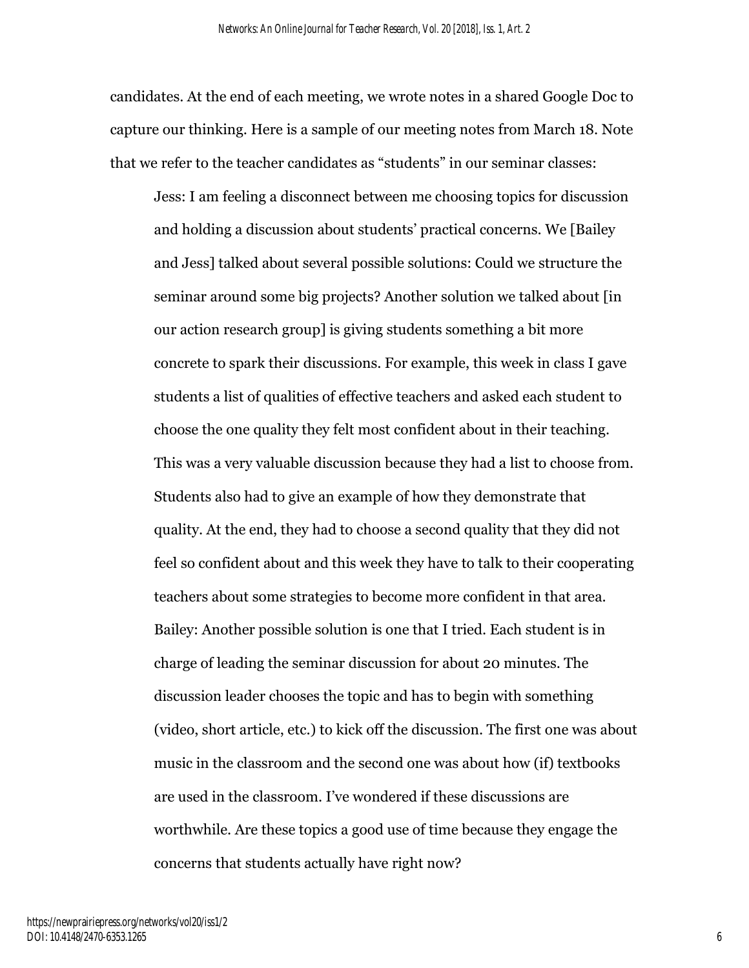candidates. At the end of each meeting, we wrote notes in a shared Google Doc to capture our thinking. Here is a sample of our meeting notes from March 18. Note that we refer to the teacher candidates as "students" in our seminar classes:

Jess: I am feeling a disconnect between me choosing topics for discussion and holding a discussion about students' practical concerns. We [Bailey and Jess] talked about several possible solutions: Could we structure the seminar around some big projects? Another solution we talked about [in our action research group] is giving students something a bit more concrete to spark their discussions. For example, this week in class I gave students a list of qualities of effective teachers and asked each student to choose the one quality they felt most confident about in their teaching. This was a very valuable discussion because they had a list to choose from. Students also had to give an example of how they demonstrate that quality. At the end, they had to choose a second quality that they did not feel so confident about and this week they have to talk to their cooperating teachers about some strategies to become more confident in that area. Bailey: Another possible solution is one that I tried. Each student is in charge of leading the seminar discussion for about 20 minutes. The discussion leader chooses the topic and has to begin with something (video, short article, etc.) to kick off the discussion. The first one was about music in the classroom and the second one was about how (if) textbooks are used in the classroom. I've wondered if these discussions are worthwhile. Are these topics a good use of time because they engage the concerns that students actually have right now?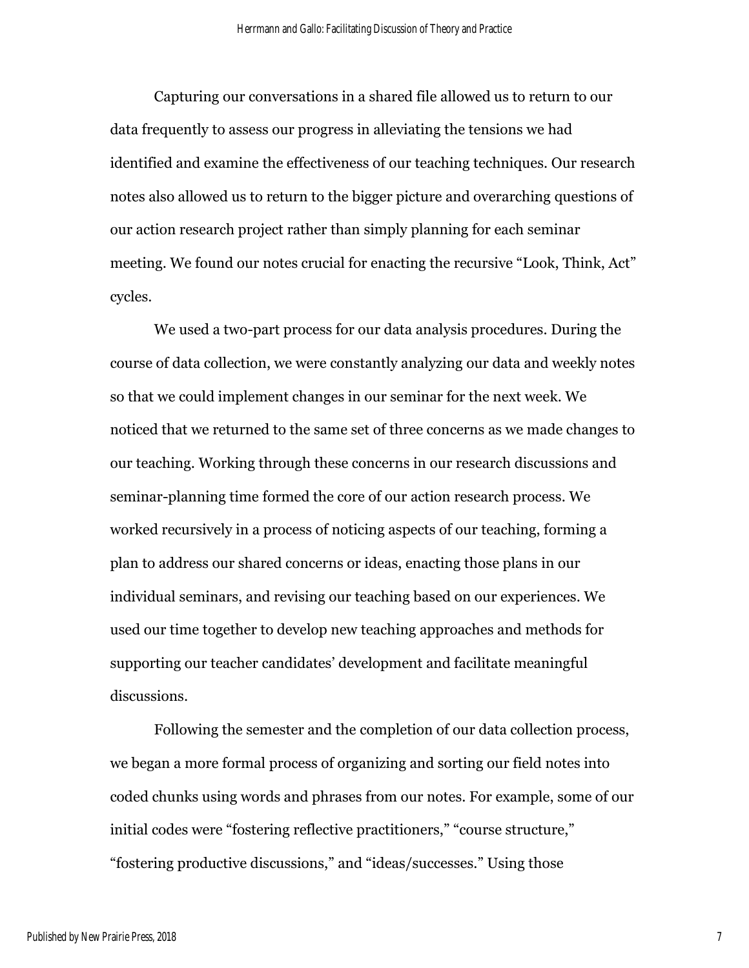Capturing our conversations in a shared file allowed us to return to our data frequently to assess our progress in alleviating the tensions we had identified and examine the effectiveness of our teaching techniques. Our research notes also allowed us to return to the bigger picture and overarching questions of our action research project rather than simply planning for each seminar meeting. We found our notes crucial for enacting the recursive "Look, Think, Act" cycles.

We used a two-part process for our data analysis procedures. During the course of data collection, we were constantly analyzing our data and weekly notes so that we could implement changes in our seminar for the next week. We noticed that we returned to the same set of three concerns as we made changes to our teaching. Working through these concerns in our research discussions and seminar-planning time formed the core of our action research process. We worked recursively in a process of noticing aspects of our teaching, forming a plan to address our shared concerns or ideas, enacting those plans in our individual seminars, and revising our teaching based on our experiences. We used our time together to develop new teaching approaches and methods for supporting our teacher candidates' development and facilitate meaningful discussions.

Following the semester and the completion of our data collection process, we began a more formal process of organizing and sorting our field notes into coded chunks using words and phrases from our notes. For example, some of our initial codes were "fostering reflective practitioners," "course structure," "fostering productive discussions," and "ideas/successes." Using those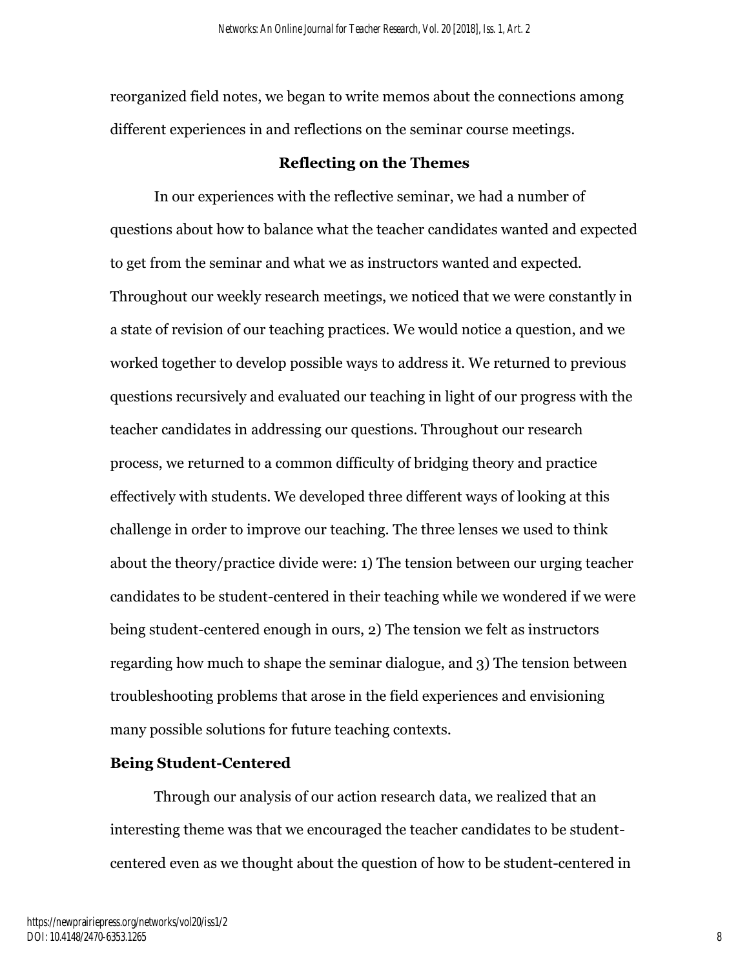reorganized field notes, we began to write memos about the connections among different experiences in and reflections on the seminar course meetings.

# **Reflecting on the Themes**

In our experiences with the reflective seminar, we had a number of questions about how to balance what the teacher candidates wanted and expected to get from the seminar and what we as instructors wanted and expected. Throughout our weekly research meetings, we noticed that we were constantly in a state of revision of our teaching practices. We would notice a question, and we worked together to develop possible ways to address it. We returned to previous questions recursively and evaluated our teaching in light of our progress with the teacher candidates in addressing our questions. Throughout our research process, we returned to a common difficulty of bridging theory and practice effectively with students. We developed three different ways of looking at this challenge in order to improve our teaching. The three lenses we used to think about the theory/practice divide were: 1) The tension between our urging teacher candidates to be student-centered in their teaching while we wondered if we were being student-centered enough in ours, 2) The tension we felt as instructors regarding how much to shape the seminar dialogue, and 3) The tension between troubleshooting problems that arose in the field experiences and envisioning many possible solutions for future teaching contexts.

## **Being Student-Centered**

Through our analysis of our action research data, we realized that an interesting theme was that we encouraged the teacher candidates to be studentcentered even as we thought about the question of how to be student-centered in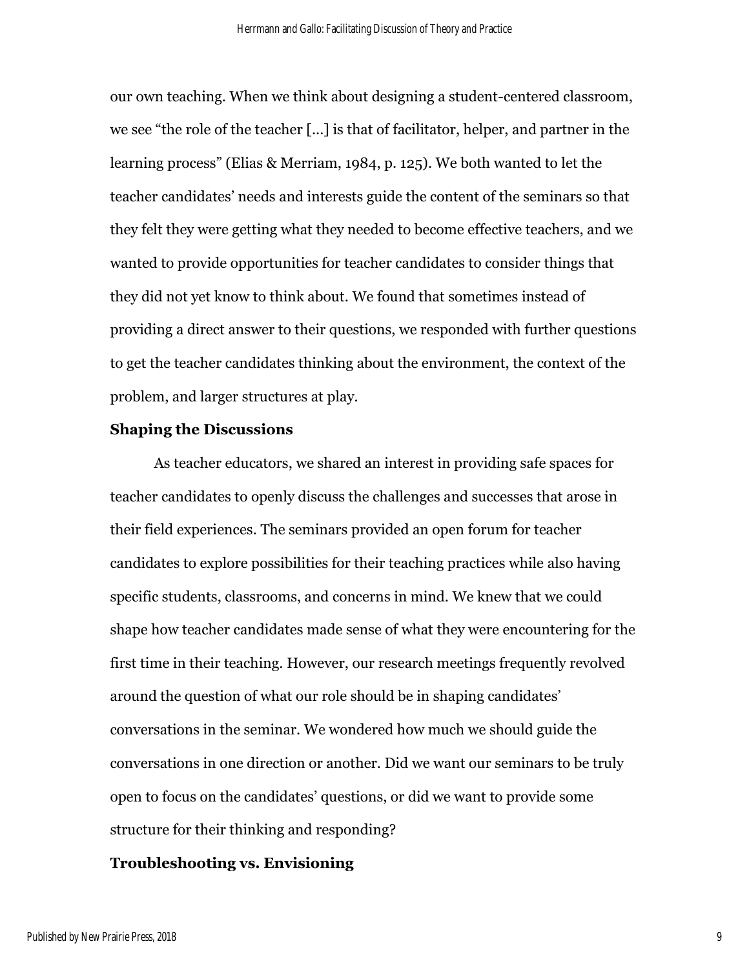our own teaching. When we think about designing a student-centered classroom, we see "the role of the teacher [...] is that of facilitator, helper, and partner in the learning process" (Elias & Merriam, 1984, p. 125). We both wanted to let the teacher candidates' needs and interests guide the content of the seminars so that they felt they were getting what they needed to become effective teachers, and we wanted to provide opportunities for teacher candidates to consider things that they did not yet know to think about. We found that sometimes instead of providing a direct answer to their questions, we responded with further questions to get the teacher candidates thinking about the environment, the context of the problem, and larger structures at play.

#### **Shaping the Discussions**

As teacher educators, we shared an interest in providing safe spaces for teacher candidates to openly discuss the challenges and successes that arose in their field experiences. The seminars provided an open forum for teacher candidates to explore possibilities for their teaching practices while also having specific students, classrooms, and concerns in mind. We knew that we could shape how teacher candidates made sense of what they were encountering for the first time in their teaching. However, our research meetings frequently revolved around the question of what our role should be in shaping candidates' conversations in the seminar. We wondered how much we should guide the conversations in one direction or another. Did we want our seminars to be truly open to focus on the candidates' questions, or did we want to provide some structure for their thinking and responding?

# **Troubleshooting vs. Envisioning**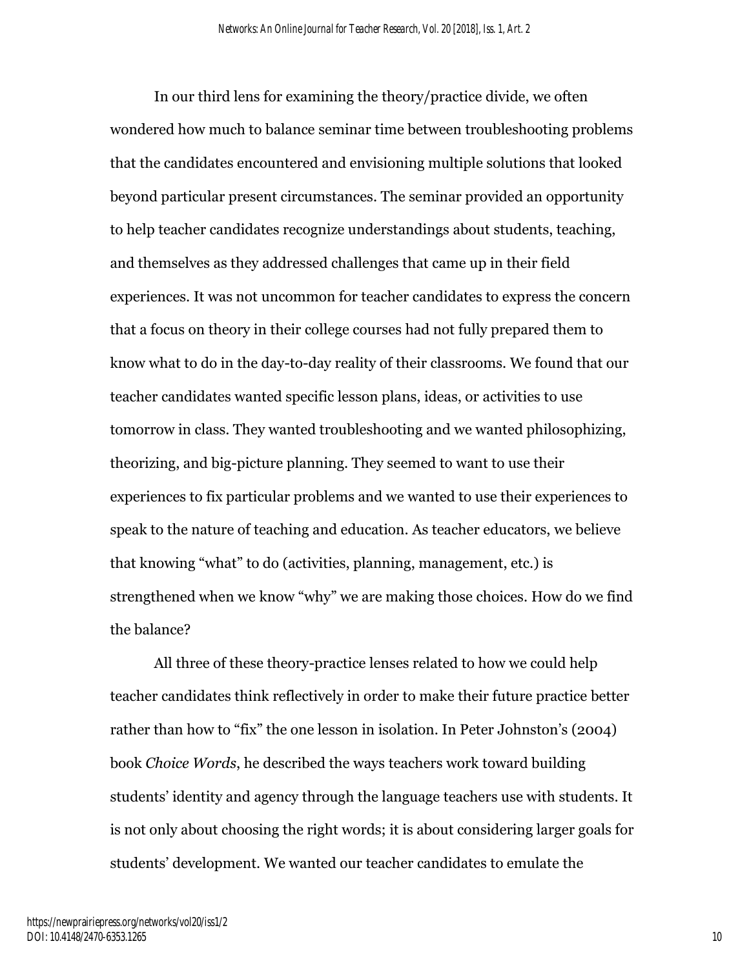In our third lens for examining the theory/practice divide, we often wondered how much to balance seminar time between troubleshooting problems that the candidates encountered and envisioning multiple solutions that looked beyond particular present circumstances. The seminar provided an opportunity to help teacher candidates recognize understandings about students, teaching, and themselves as they addressed challenges that came up in their field experiences. It was not uncommon for teacher candidates to express the concern that a focus on theory in their college courses had not fully prepared them to know what to do in the day-to-day reality of their classrooms. We found that our teacher candidates wanted specific lesson plans, ideas, or activities to use tomorrow in class. They wanted troubleshooting and we wanted philosophizing, theorizing, and big-picture planning. They seemed to want to use their experiences to fix particular problems and we wanted to use their experiences to speak to the nature of teaching and education. As teacher educators, we believe that knowing "what" to do (activities, planning, management, etc.) is strengthened when we know "why" we are making those choices. How do we find the balance?

All three of these theory-practice lenses related to how we could help teacher candidates think reflectively in order to make their future practice better rather than how to "fix" the one lesson in isolation. In Peter Johnston's (2004) book *Choice Words*, he described the ways teachers work toward building students' identity and agency through the language teachers use with students. It is not only about choosing the right words; it is about considering larger goals for students' development. We wanted our teacher candidates to emulate the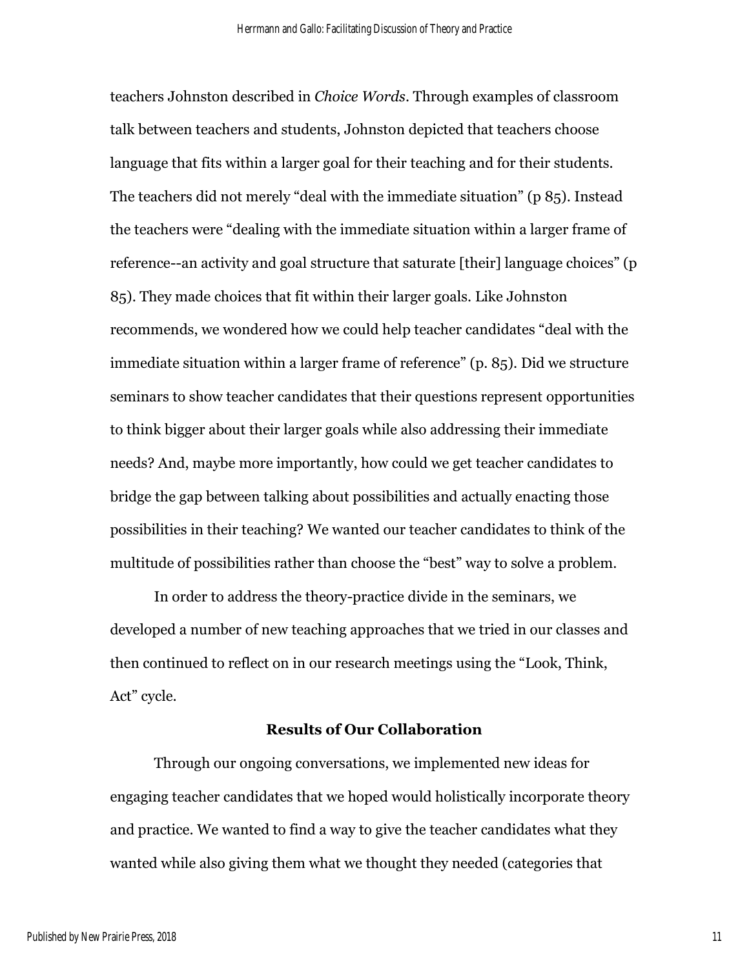teachers Johnston described in *Choice Words*. Through examples of classroom talk between teachers and students, Johnston depicted that teachers choose language that fits within a larger goal for their teaching and for their students. The teachers did not merely "deal with the immediate situation" (p 85). Instead the teachers were "dealing with the immediate situation within a larger frame of reference--an activity and goal structure that saturate [their] language choices" (p 85). They made choices that fit within their larger goals. Like Johnston recommends, we wondered how we could help teacher candidates "deal with the immediate situation within a larger frame of reference" (p. 85). Did we structure seminars to show teacher candidates that their questions represent opportunities to think bigger about their larger goals while also addressing their immediate needs? And, maybe more importantly, how could we get teacher candidates to bridge the gap between talking about possibilities and actually enacting those possibilities in their teaching? We wanted our teacher candidates to think of the multitude of possibilities rather than choose the "best" way to solve a problem.

In order to address the theory-practice divide in the seminars, we developed a number of new teaching approaches that we tried in our classes and then continued to reflect on in our research meetings using the "Look, Think, Act" cycle.

## **Results of Our Collaboration**

Through our ongoing conversations, we implemented new ideas for engaging teacher candidates that we hoped would holistically incorporate theory and practice. We wanted to find a way to give the teacher candidates what they wanted while also giving them what we thought they needed (categories that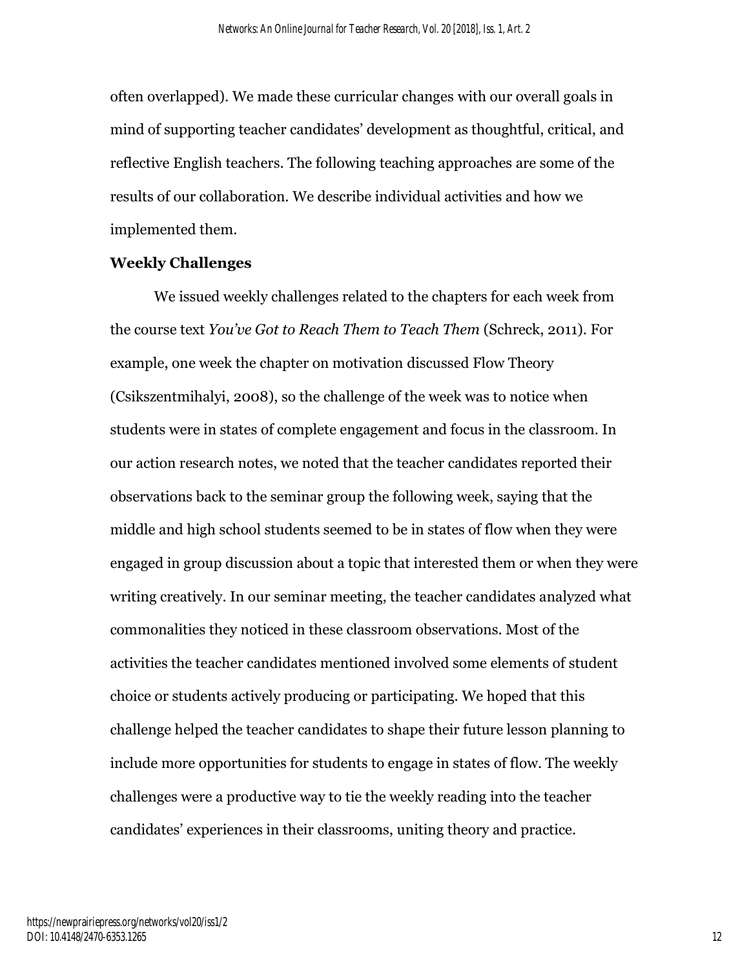often overlapped). We made these curricular changes with our overall goals in mind of supporting teacher candidates' development as thoughtful, critical, and reflective English teachers. The following teaching approaches are some of the results of our collaboration. We describe individual activities and how we implemented them.

# **Weekly Challenges**

We issued weekly challenges related to the chapters for each week from the course text *You've Got to Reach Them to Teach Them* (Schreck, 2011). For example, one week the chapter on motivation discussed Flow Theory (Csikszentmihalyi, 2008), so the challenge of the week was to notice when students were in states of complete engagement and focus in the classroom. In our action research notes, we noted that the teacher candidates reported their observations back to the seminar group the following week, saying that the middle and high school students seemed to be in states of flow when they were engaged in group discussion about a topic that interested them or when they were writing creatively. In our seminar meeting, the teacher candidates analyzed what commonalities they noticed in these classroom observations. Most of the activities the teacher candidates mentioned involved some elements of student choice or students actively producing or participating. We hoped that this challenge helped the teacher candidates to shape their future lesson planning to include more opportunities for students to engage in states of flow. The weekly challenges were a productive way to tie the weekly reading into the teacher candidates' experiences in their classrooms, uniting theory and practice.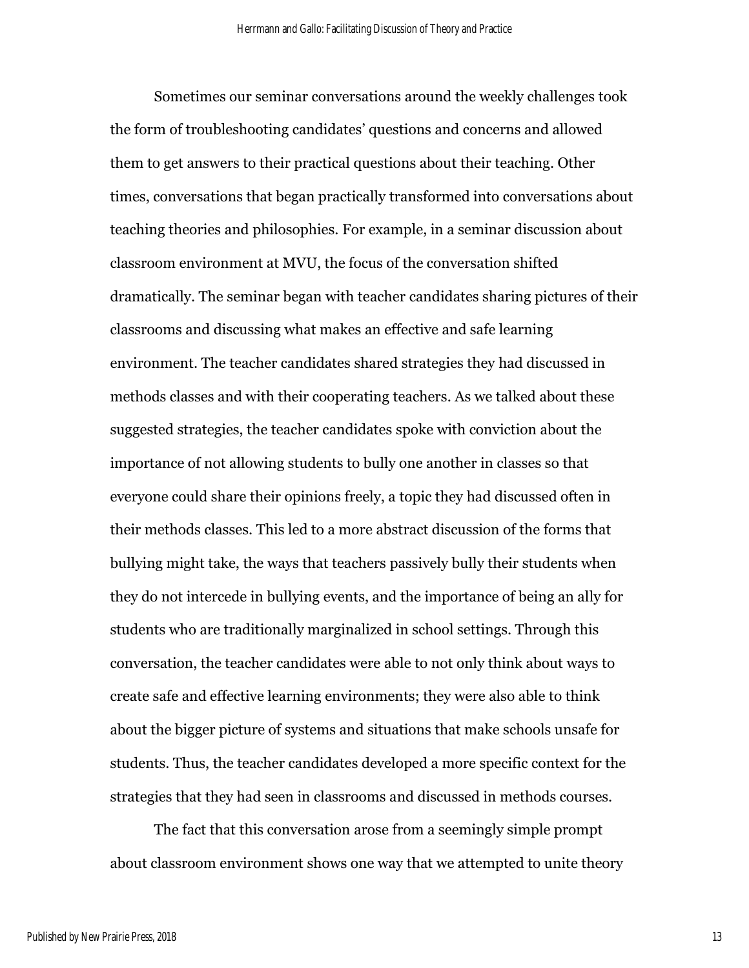Sometimes our seminar conversations around the weekly challenges took the form of troubleshooting candidates' questions and concerns and allowed them to get answers to their practical questions about their teaching. Other times, conversations that began practically transformed into conversations about teaching theories and philosophies. For example, in a seminar discussion about classroom environment at MVU, the focus of the conversation shifted dramatically. The seminar began with teacher candidates sharing pictures of their classrooms and discussing what makes an effective and safe learning environment. The teacher candidates shared strategies they had discussed in methods classes and with their cooperating teachers. As we talked about these suggested strategies, the teacher candidates spoke with conviction about the importance of not allowing students to bully one another in classes so that everyone could share their opinions freely, a topic they had discussed often in their methods classes. This led to a more abstract discussion of the forms that bullying might take, the ways that teachers passively bully their students when they do not intercede in bullying events, and the importance of being an ally for students who are traditionally marginalized in school settings. Through this conversation, the teacher candidates were able to not only think about ways to create safe and effective learning environments; they were also able to think about the bigger picture of systems and situations that make schools unsafe for students. Thus, the teacher candidates developed a more specific context for the strategies that they had seen in classrooms and discussed in methods courses.

The fact that this conversation arose from a seemingly simple prompt about classroom environment shows one way that we attempted to unite theory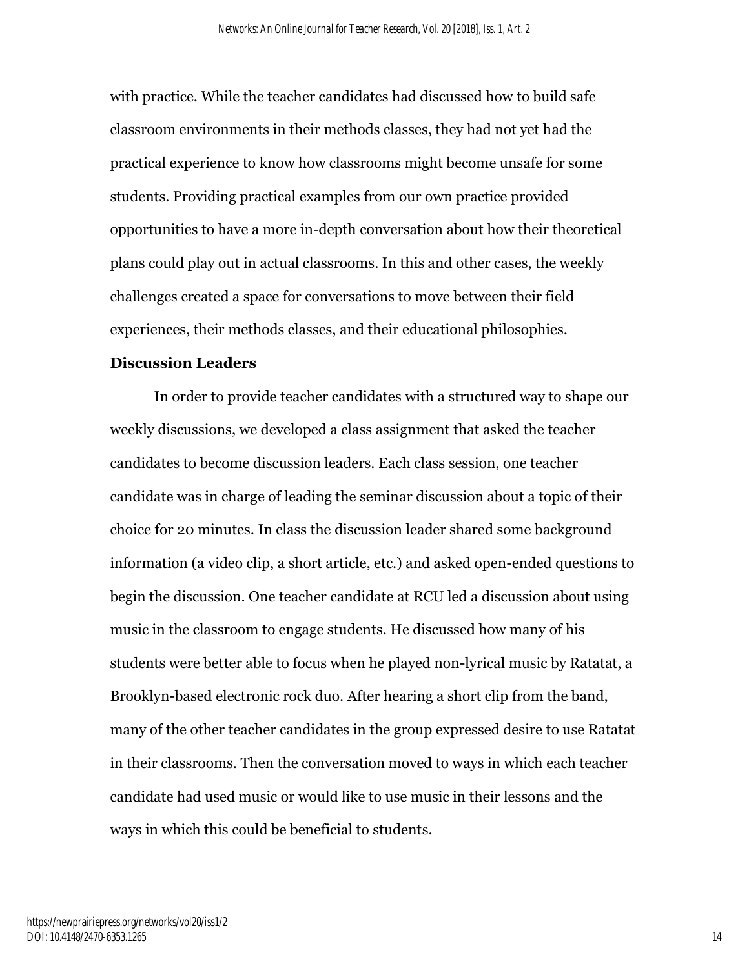with practice. While the teacher candidates had discussed how to build safe classroom environments in their methods classes, they had not yet had the practical experience to know how classrooms might become unsafe for some students. Providing practical examples from our own practice provided opportunities to have a more in-depth conversation about how their theoretical plans could play out in actual classrooms. In this and other cases, the weekly challenges created a space for conversations to move between their field experiences, their methods classes, and their educational philosophies.

# **Discussion Leaders**

In order to provide teacher candidates with a structured way to shape our weekly discussions, we developed a class assignment that asked the teacher candidates to become discussion leaders. Each class session, one teacher candidate was in charge of leading the seminar discussion about a topic of their choice for 20 minutes. In class the discussion leader shared some background information (a video clip, a short article, etc.) and asked open-ended questions to begin the discussion. One teacher candidate at RCU led a discussion about using music in the classroom to engage students. He discussed how many of his students were better able to focus when he played non-lyrical music by Ratatat, a Brooklyn-based electronic rock duo. After hearing a short clip from the band, many of the other teacher candidates in the group expressed desire to use Ratatat in their classrooms. Then the conversation moved to ways in which each teacher candidate had used music or would like to use music in their lessons and the ways in which this could be beneficial to students.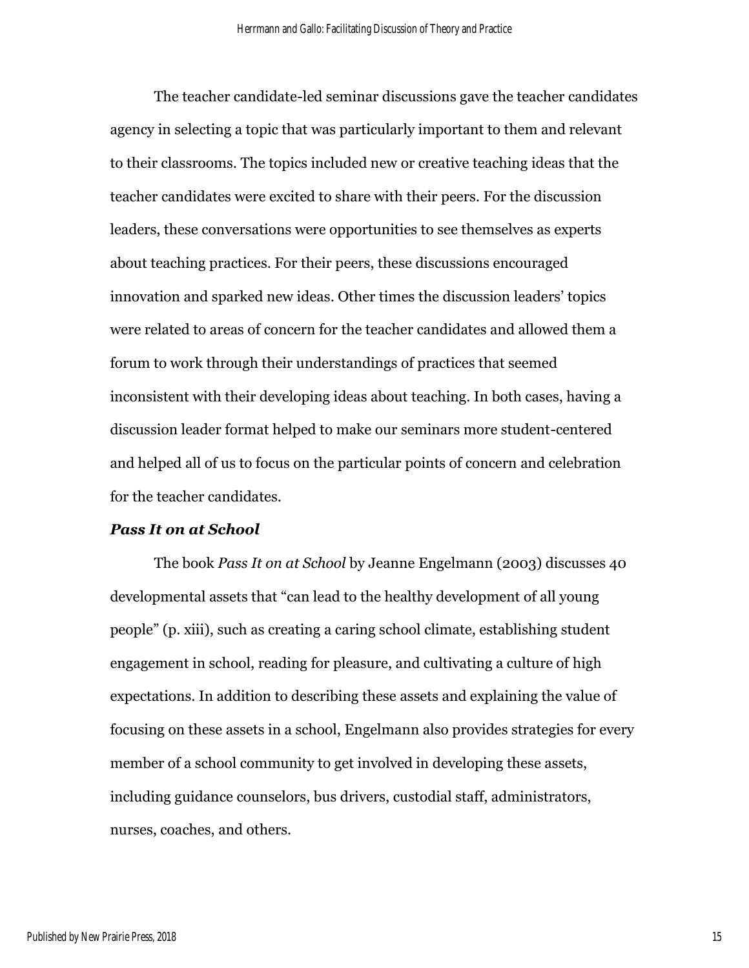The teacher candidate-led seminar discussions gave the teacher candidates agency in selecting a topic that was particularly important to them and relevant to their classrooms. The topics included new or creative teaching ideas that the teacher candidates were excited to share with their peers. For the discussion leaders, these conversations were opportunities to see themselves as experts about teaching practices. For their peers, these discussions encouraged innovation and sparked new ideas. Other times the discussion leaders' topics were related to areas of concern for the teacher candidates and allowed them a forum to work through their understandings of practices that seemed inconsistent with their developing ideas about teaching. In both cases, having a discussion leader format helped to make our seminars more student-centered and helped all of us to focus on the particular points of concern and celebration for the teacher candidates.

#### *Pass It on at School*

The book *Pass It on at School* by Jeanne Engelmann (2003) discusses 40 developmental assets that "can lead to the healthy development of all young people" (p. xiii), such as creating a caring school climate, establishing student engagement in school, reading for pleasure, and cultivating a culture of high expectations. In addition to describing these assets and explaining the value of focusing on these assets in a school, Engelmann also provides strategies for every member of a school community to get involved in developing these assets, including guidance counselors, bus drivers, custodial staff, administrators, nurses, coaches, and others.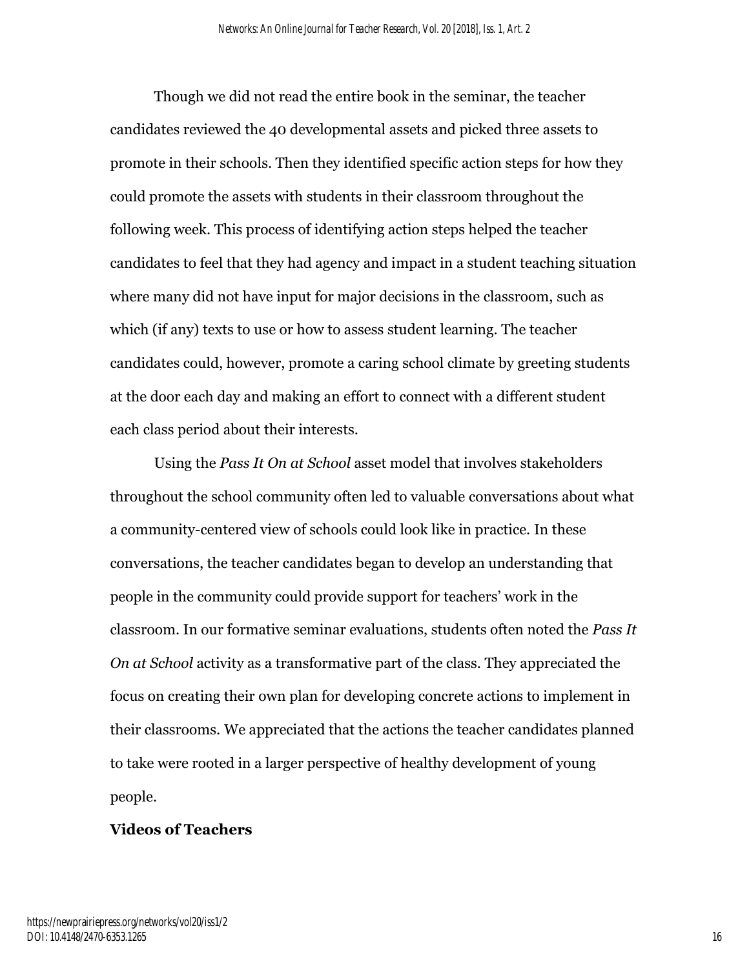Though we did not read the entire book in the seminar, the teacher candidates reviewed the 40 developmental assets and picked three assets to promote in their schools. Then they identified specific action steps for how they could promote the assets with students in their classroom throughout the following week. This process of identifying action steps helped the teacher candidates to feel that they had agency and impact in a student teaching situation where many did not have input for major decisions in the classroom, such as which (if any) texts to use or how to assess student learning. The teacher candidates could, however, promote a caring school climate by greeting students at the door each day and making an effort to connect with a different student each class period about their interests.

Using the *Pass It On at School* asset model that involves stakeholders throughout the school community often led to valuable conversations about what a community-centered view of schools could look like in practice. In these conversations, the teacher candidates began to develop an understanding that people in the community could provide support for teachers' work in the classroom. In our formative seminar evaluations, students often noted the *Pass It On at School* activity as a transformative part of the class. They appreciated the focus on creating their own plan for developing concrete actions to implement in their classrooms. We appreciated that the actions the teacher candidates planned to take were rooted in a larger perspective of healthy development of young people.

#### **Videos of Teachers**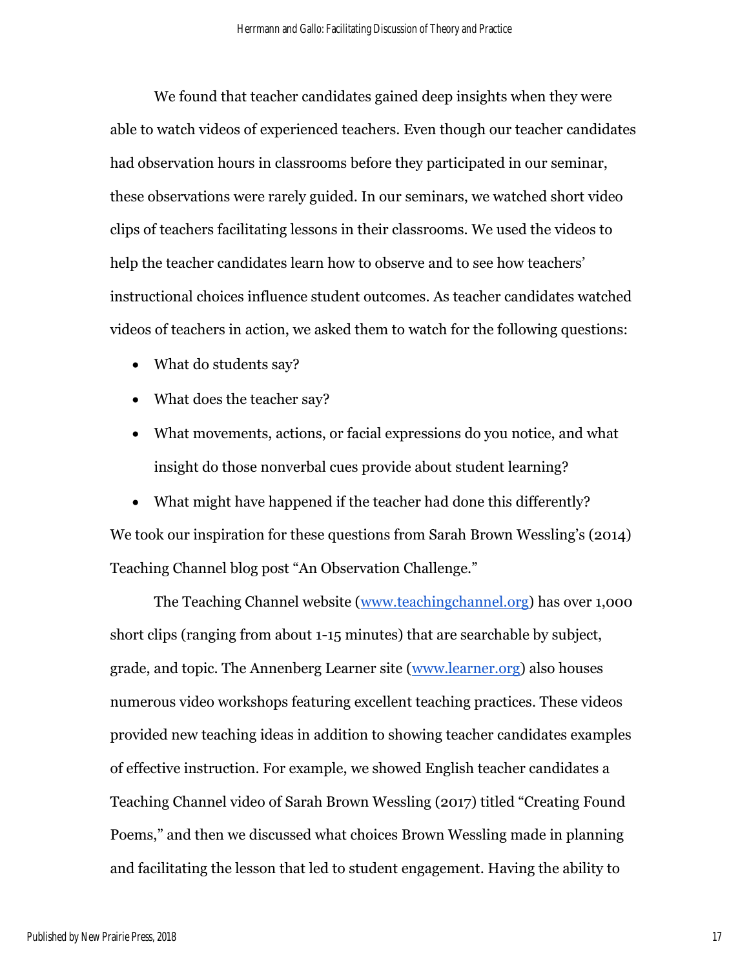We found that teacher candidates gained deep insights when they were able to watch videos of experienced teachers. Even though our teacher candidates had observation hours in classrooms before they participated in our seminar, these observations were rarely guided. In our seminars, we watched short video clips of teachers facilitating lessons in their classrooms. We used the videos to help the teacher candidates learn how to observe and to see how teachers' instructional choices influence student outcomes. As teacher candidates watched videos of teachers in action, we asked them to watch for the following questions:

- What do students say?
- What does the teacher say?
- What movements, actions, or facial expressions do you notice, and what insight do those nonverbal cues provide about student learning?

• What might have happened if the teacher had done this differently? We took our inspiration for these questions from Sarah Brown Wessling's (2014) Teaching Channel blog post "An Observation Challenge."

The Teaching Channel website [\(www.teachingchannel.org\)](http://www.teachingchannel.org/) has over 1,000 short clips (ranging from about 1-15 minutes) that are searchable by subject, grade, and topic. The Annenberg Learner site [\(www.learner.org\)](http://www.learner.org/) also houses numerous video workshops featuring excellent teaching practices. These videos provided new teaching ideas in addition to showing teacher candidates examples of effective instruction. For example, we showed English teacher candidates a Teaching Channel video of Sarah Brown Wessling (2017) titled "Creating Found Poems," and then we discussed what choices Brown Wessling made in planning and facilitating the lesson that led to student engagement. Having the ability to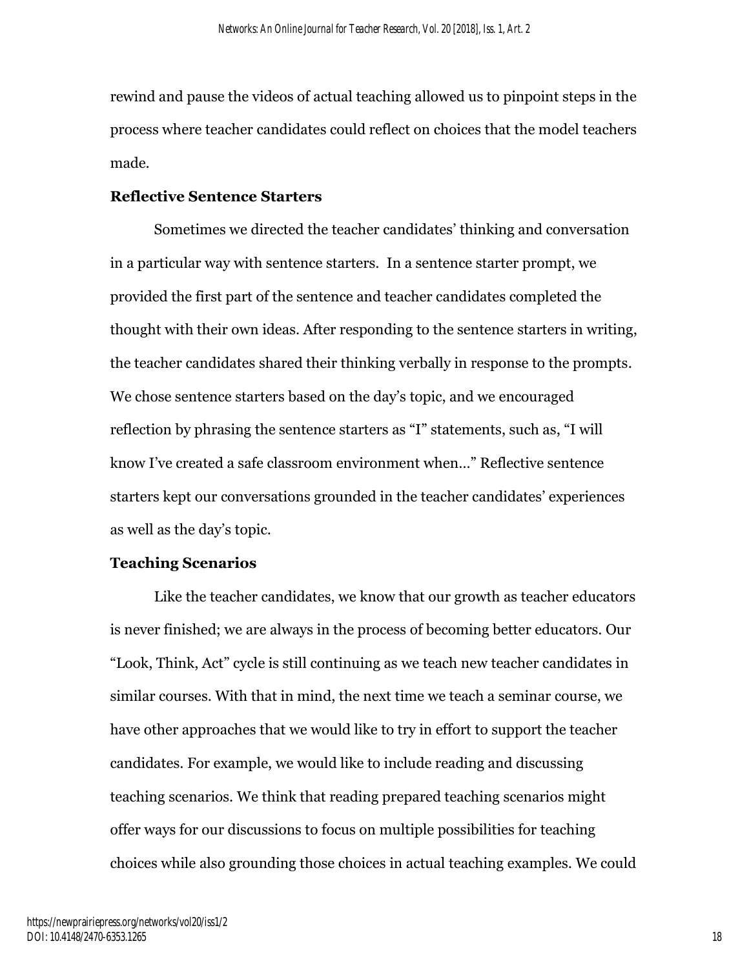rewind and pause the videos of actual teaching allowed us to pinpoint steps in the process where teacher candidates could reflect on choices that the model teachers made.

# **Reflective Sentence Starters**

Sometimes we directed the teacher candidates' thinking and conversation in a particular way with sentence starters. In a sentence starter prompt, we provided the first part of the sentence and teacher candidates completed the thought with their own ideas. After responding to the sentence starters in writing, the teacher candidates shared their thinking verbally in response to the prompts. We chose sentence starters based on the day's topic, and we encouraged reflection by phrasing the sentence starters as "I" statements, such as, "I will know I've created a safe classroom environment when…" Reflective sentence starters kept our conversations grounded in the teacher candidates' experiences as well as the day's topic.

## **Teaching Scenarios**

Like the teacher candidates, we know that our growth as teacher educators is never finished; we are always in the process of becoming better educators. Our "Look, Think, Act" cycle is still continuing as we teach new teacher candidates in similar courses. With that in mind, the next time we teach a seminar course, we have other approaches that we would like to try in effort to support the teacher candidates. For example, we would like to include reading and discussing teaching scenarios. We think that reading prepared teaching scenarios might offer ways for our discussions to focus on multiple possibilities for teaching choices while also grounding those choices in actual teaching examples. We could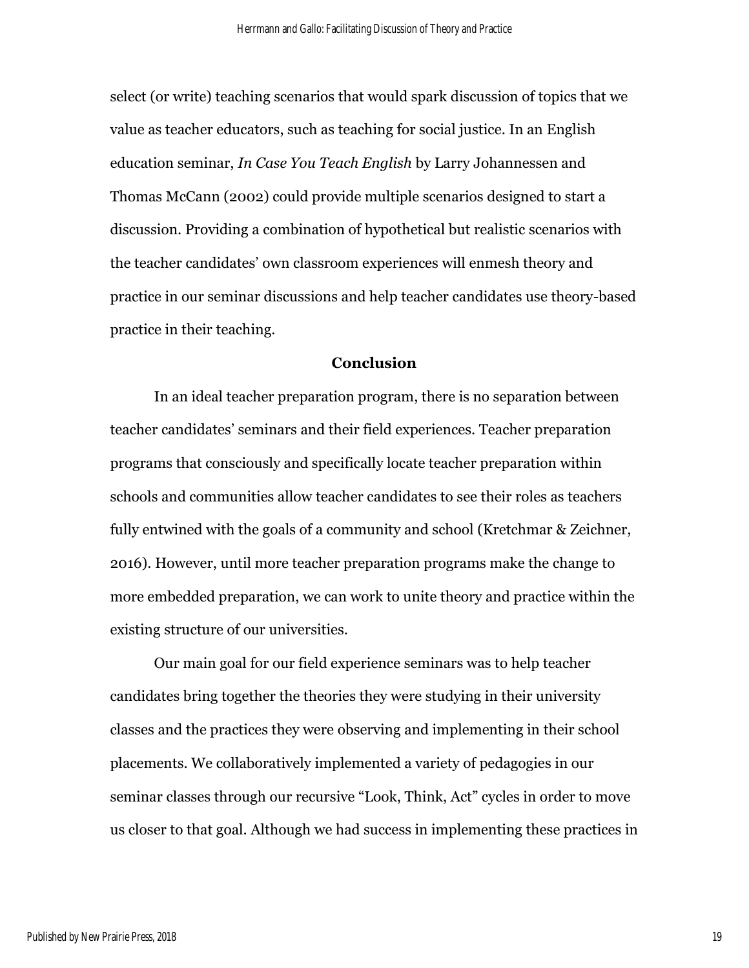select (or write) teaching scenarios that would spark discussion of topics that we value as teacher educators, such as teaching for social justice. In an English education seminar, *In Case You Teach English* by Larry Johannessen and Thomas McCann (2002) could provide multiple scenarios designed to start a discussion. Providing a combination of hypothetical but realistic scenarios with the teacher candidates' own classroom experiences will enmesh theory and practice in our seminar discussions and help teacher candidates use theory-based practice in their teaching.

# **Conclusion**

In an ideal teacher preparation program, there is no separation between teacher candidates' seminars and their field experiences. Teacher preparation programs that consciously and specifically locate teacher preparation within schools and communities allow teacher candidates to see their roles as teachers fully entwined with the goals of a community and school (Kretchmar & Zeichner, 2016). However, until more teacher preparation programs make the change to more embedded preparation, we can work to unite theory and practice within the existing structure of our universities.

Our main goal for our field experience seminars was to help teacher candidates bring together the theories they were studying in their university classes and the practices they were observing and implementing in their school placements. We collaboratively implemented a variety of pedagogies in our seminar classes through our recursive "Look, Think, Act" cycles in order to move us closer to that goal. Although we had success in implementing these practices in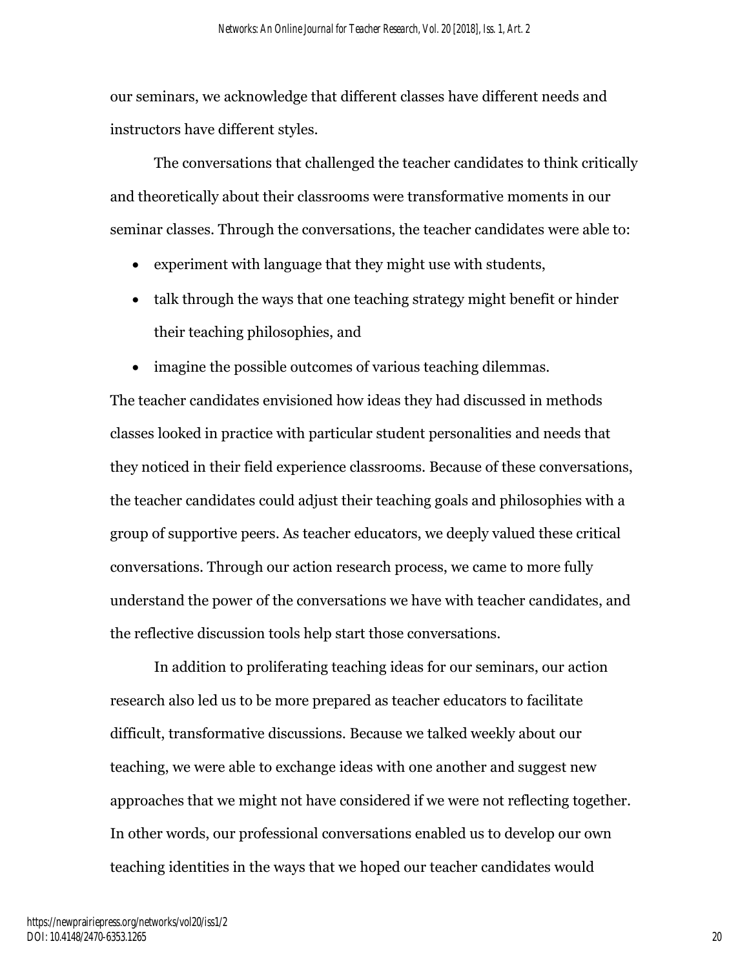our seminars, we acknowledge that different classes have different needs and instructors have different styles.

The conversations that challenged the teacher candidates to think critically and theoretically about their classrooms were transformative moments in our seminar classes. Through the conversations, the teacher candidates were able to:

- experiment with language that they might use with students,
- talk through the ways that one teaching strategy might benefit or hinder their teaching philosophies, and
- imagine the possible outcomes of various teaching dilemmas.

The teacher candidates envisioned how ideas they had discussed in methods classes looked in practice with particular student personalities and needs that they noticed in their field experience classrooms. Because of these conversations, the teacher candidates could adjust their teaching goals and philosophies with a group of supportive peers. As teacher educators, we deeply valued these critical conversations. Through our action research process, we came to more fully understand the power of the conversations we have with teacher candidates, and the reflective discussion tools help start those conversations.

In addition to proliferating teaching ideas for our seminars, our action research also led us to be more prepared as teacher educators to facilitate difficult, transformative discussions. Because we talked weekly about our teaching, we were able to exchange ideas with one another and suggest new approaches that we might not have considered if we were not reflecting together. In other words, our professional conversations enabled us to develop our own teaching identities in the ways that we hoped our teacher candidates would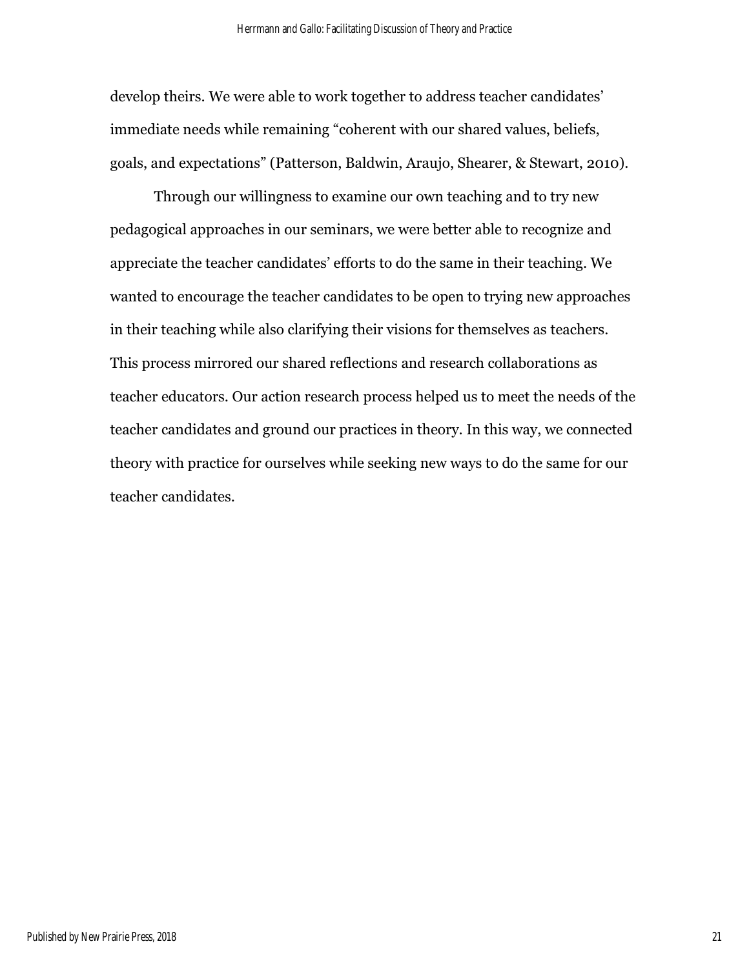develop theirs. We were able to work together to address teacher candidates' immediate needs while remaining "coherent with our shared values, beliefs, goals, and expectations" (Patterson, Baldwin, Araujo, Shearer, & Stewart, 2010).

Through our willingness to examine our own teaching and to try new pedagogical approaches in our seminars, we were better able to recognize and appreciate the teacher candidates' efforts to do the same in their teaching. We wanted to encourage the teacher candidates to be open to trying new approaches in their teaching while also clarifying their visions for themselves as teachers. This process mirrored our shared reflections and research collaborations as teacher educators. Our action research process helped us to meet the needs of the teacher candidates and ground our practices in theory. In this way, we connected theory with practice for ourselves while seeking new ways to do the same for our teacher candidates.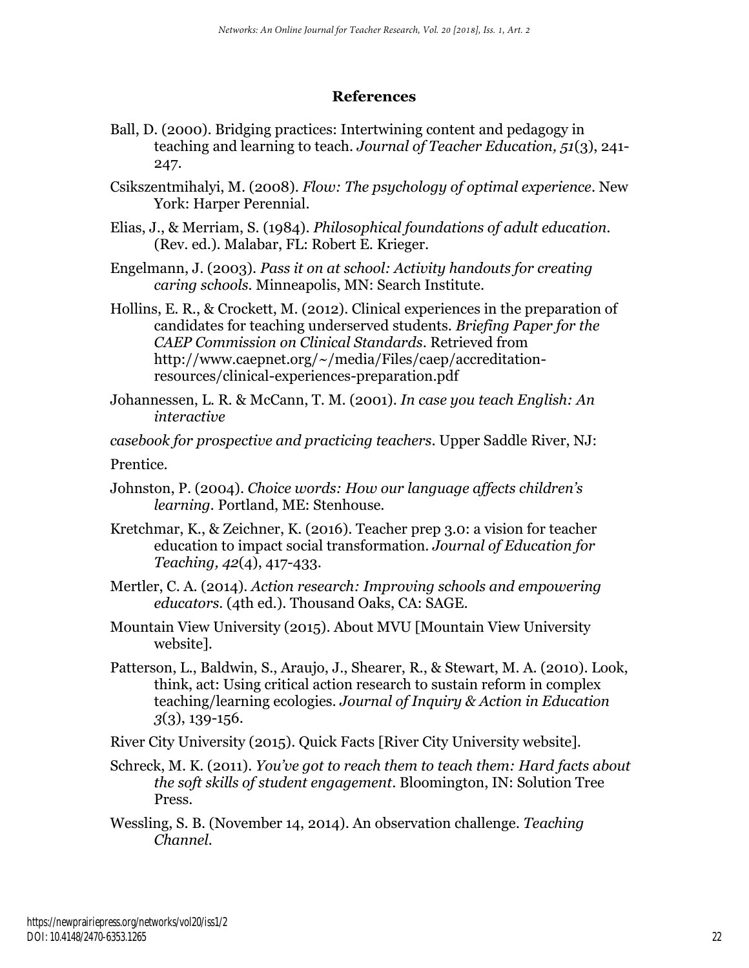# **References**

- Ball, D. (2000). Bridging practices: Intertwining content and pedagogy in teaching and learning to teach. *Journal of Teacher Education, 51*(3), 241- 247.
- Csikszentmihalyi, M. (2008). *Flow: The psychology of optimal experience*. New York: Harper Perennial.
- Elias, J., & Merriam, S. (1984). *Philosophical foundations of adult education.* (Rev. ed.). Malabar, FL: Robert E. Krieger.
- Engelmann, J. (2003). *Pass it on at school: Activity handouts for creating caring schools.* Minneapolis, MN: Search Institute.
- Hollins, E. R., & Crockett, M. (2012). Clinical experiences in the preparation of candidates for teaching underserved students. *Briefing Paper for the CAEP Commission on Clinical Standards*. Retrieved from http://www.caepnet.org/~/media/Files/caep/accreditationresources/clinical-experiences-preparation.pdf
- Johannessen, L. R. & McCann, T. M. (2001). *In case you teach English: An interactive*

*casebook for prospective and practicing teachers*. Upper Saddle River, NJ:

Prentice.

- Johnston, P. (2004). *Choice words: How our language affects children's learning.* Portland, ME: Stenhouse.
- Kretchmar, K., & Zeichner, K. (2016). Teacher prep 3.0: a vision for teacher education to impact social transformation. *Journal of Education for Teaching, 42*(4), 417-433.
- Mertler, C. A. (2014). *Action research: Improving schools and empowering educators.* (4th ed.). Thousand Oaks, CA: SAGE.
- Mountain View University (2015). About MVU [Mountain View University website].
- Patterson, L., Baldwin, S., Araujo, J., Shearer, R., & Stewart, M. A. (2010). Look, think, act: Using critical action research to sustain reform in complex teaching/learning ecologies. *Journal of Inquiry & Action in Education 3*(3), 139-156.
- River City University (2015). Quick Facts [River City University website].
- Schreck, M. K. (2011). *You've got to reach them to teach them: Hard facts about the soft skills of student engagement*. Bloomington, IN: Solution Tree Press.
- Wessling, S. B. (November 14, 2014). An observation challenge. *Teaching Channel.*